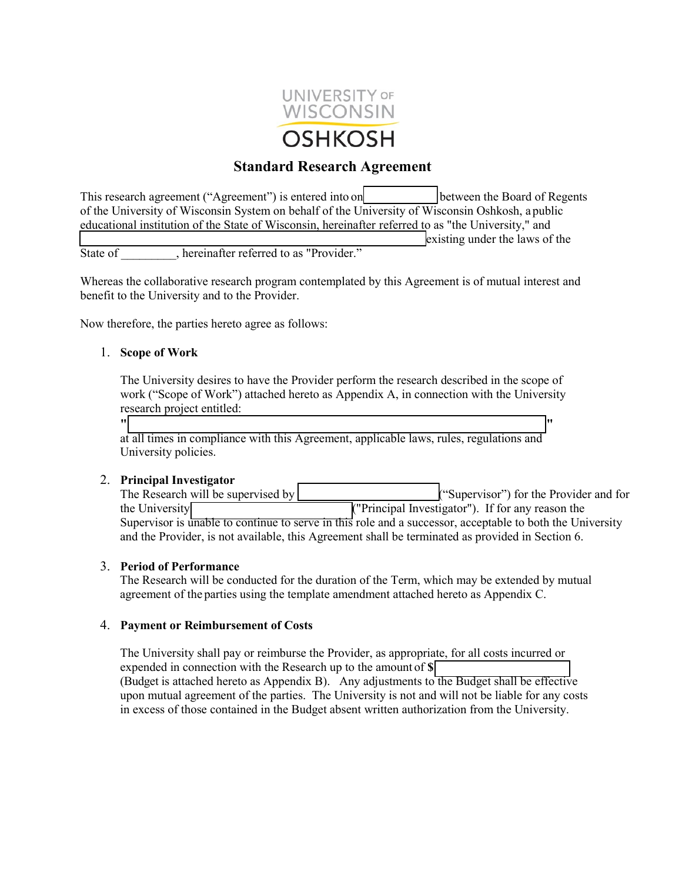

# **Standard Research Agreement**

This research agreement ("Agreement") is entered into on between the Board of Regents of the University of Wisconsin System on behalf of the University of Wisconsin Oshkosh, a public educational institution of the State of Wisconsin, hereinafter referred to as "the University," and existing under the laws of the

State of changes between the settlement of the state of  $\overline{\phantom{a}}$ .

Whereas the collaborative research program contemplated by this Agreement is of mutual interest and benefit to the University and to the Provider.

Now therefore, the parties hereto agree as follows:

#### 1. **Scope of Work**

The University desires to have the Provider perform the research described in the scope of work ("Scope of Work") attached hereto as Appendix A, in connection with the University research project entitled:

**" "** at all times in compliance with this Agreement, applicable laws, rules, regulations and University policies.

2. **Principal Investigator**  $("Supervisor")$  for the Provider and for the University **Contract Contract Contract Contract Contract Contract Contract Contract Contract Contract Contract Contract Contract Contract Contract Contract Contract Contract Contract Contract Contract Contract Contract** Supervisor is unable to continue to serve in this role and a successor, acceptable to both the University and the Provider, is not available, this Agreement shall be terminated as provided in Section 6.

#### 3. **Period of Performance**

The Research will be conducted for the duration of the Term, which may be extended by mutual agreement of the parties using the template amendment attached hereto as Appendix C.

#### 4. **Payment or Reimbursement of Costs**

The University shall pay or reimburse the Provider, as appropriate, for all costs incurred or expended in connection with the Research up to the amount of **\$** (Budget is attached hereto as Appendix B). Any adjustments to the Budget shall be effective upon mutual agreement of the parties. The University is not and will not be liable for any costs in excess of those contained in the Budget absent written authorization from the University.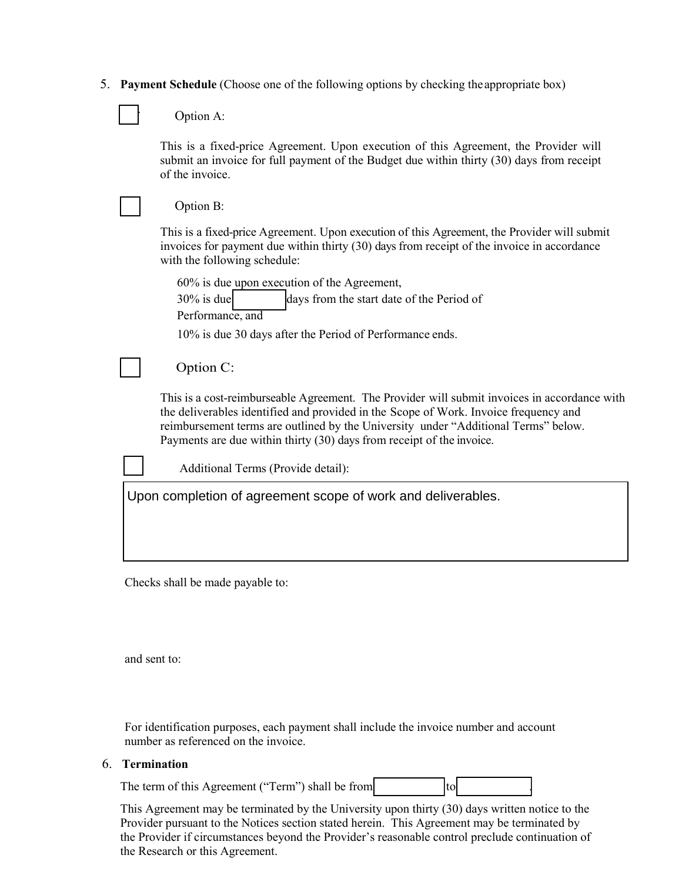| 5. Payment Schedule (Choose one of the following options by checking the appropriate box) |  |  |
|-------------------------------------------------------------------------------------------|--|--|
|                                                                                           |  |  |

Option A:

 $\Box$ 

This is a fixed-price Agreement. Upon execution of this Agreement, the Provider will submit an invoice for full payment of the Budget due within thirty (30) days from receipt of the invoice.

|                                                              | Option B:                                                                                                                                                                                                                                                                                                                                           |  |  |  |  |
|--------------------------------------------------------------|-----------------------------------------------------------------------------------------------------------------------------------------------------------------------------------------------------------------------------------------------------------------------------------------------------------------------------------------------------|--|--|--|--|
|                                                              | This is a fixed-price Agreement. Upon execution of this Agreement, the Provider will submit<br>invoices for payment due within thirty (30) days from receipt of the invoice in accordance<br>with the following schedule:                                                                                                                           |  |  |  |  |
|                                                              | 60% is due upon execution of the Agreement,                                                                                                                                                                                                                                                                                                         |  |  |  |  |
|                                                              | $30\%$ is due<br>days from the start date of the Period of<br>Performance, and                                                                                                                                                                                                                                                                      |  |  |  |  |
|                                                              | 10% is due 30 days after the Period of Performance ends.                                                                                                                                                                                                                                                                                            |  |  |  |  |
|                                                              | Option C:                                                                                                                                                                                                                                                                                                                                           |  |  |  |  |
|                                                              | This is a cost-reimburseable Agreement. The Provider will submit invoices in accordance with<br>the deliverables identified and provided in the Scope of Work. Invoice frequency and<br>reimbursement terms are outlined by the University under "Additional Terms" below.<br>Payments are due within thirty (30) days from receipt of the invoice. |  |  |  |  |
|                                                              | Additional Terms (Provide detail):                                                                                                                                                                                                                                                                                                                  |  |  |  |  |
| Upon completion of agreement scope of work and deliverables. |                                                                                                                                                                                                                                                                                                                                                     |  |  |  |  |
|                                                              |                                                                                                                                                                                                                                                                                                                                                     |  |  |  |  |
|                                                              |                                                                                                                                                                                                                                                                                                                                                     |  |  |  |  |
|                                                              |                                                                                                                                                                                                                                                                                                                                                     |  |  |  |  |

Checks shall be made payable to:

and sent to:

For identification purposes, each payment shall include the invoice number and account number as referenced on the invoice.

#### 6. **Termination**

The term of this Agreement ("Term") shall be from  $\vert$  to  $\vert$ 

This Agreement may be terminated by the University upon thirty (30) days written notice to the Provider pursuant to the Notices section stated herein. This Agreement may be terminated by the Provider if circumstances beyond the Provider's reasonable control preclude continuation of the Research or this Agreement.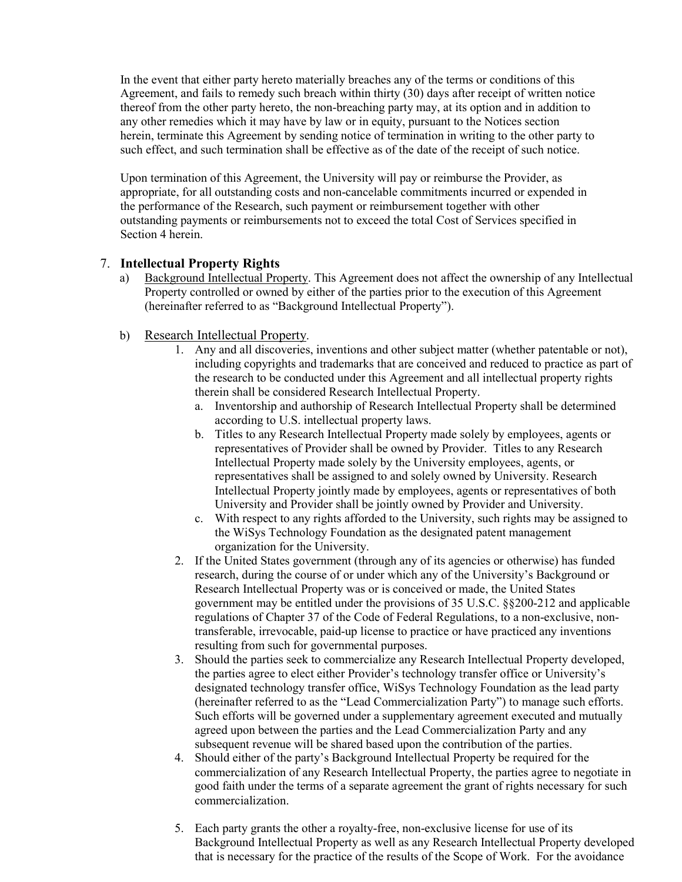In the event that either party hereto materially breaches any of the terms or conditions of this Agreement, and fails to remedy such breach within thirty (30) days after receipt of written notice thereof from the other party hereto, the non-breaching party may, at its option and in addition to any other remedies which it may have by law or in equity, pursuant to the Notices section herein, terminate this Agreement by sending notice of termination in writing to the other party to such effect, and such termination shall be effective as of the date of the receipt of such notice.

Upon termination of this Agreement, the University will pay or reimburse the Provider, as appropriate, for all outstanding costs and non-cancelable commitments incurred or expended in the performance of the Research, such payment or reimbursement together with other outstanding payments or reimbursements not to exceed the total Cost of Services specified in Section 4 herein.

# 7. **Intellectual Property Rights**

- a) Background Intellectual Property. This Agreement does not affect the ownership of any Intellectual Property controlled or owned by either of the parties prior to the execution of this Agreement (hereinafter referred to as "Background Intellectual Property").
- b) Research Intellectual Property.
	- 1. Any and all discoveries, inventions and other subject matter (whether patentable or not), including copyrights and trademarks that are conceived and reduced to practice as part of the research to be conducted under this Agreement and all intellectual property rights therein shall be considered Research Intellectual Property.
		- a. Inventorship and authorship of Research Intellectual Property shall be determined according to U.S. intellectual property laws.
		- b. Titles to any Research Intellectual Property made solely by employees, agents or representatives of Provider shall be owned by Provider. Titles to any Research Intellectual Property made solely by the University employees, agents, or representatives shall be assigned to and solely owned by University. Research Intellectual Property jointly made by employees, agents or representatives of both University and Provider shall be jointly owned by Provider and University.
		- c. With respect to any rights afforded to the University, such rights may be assigned to the WiSys Technology Foundation as the designated patent management organization for the University.
	- 2. If the United States government (through any of its agencies or otherwise) has funded research, during the course of or under which any of the University's Background or Research Intellectual Property was or is conceived or made, the United States government may be entitled under the provisions of 35 U.S.C. §§200-212 and applicable regulations of Chapter 37 of the Code of Federal Regulations, to a non-exclusive, nontransferable, irrevocable, paid-up license to practice or have practiced any inventions resulting from such for governmental purposes.
	- 3. Should the parties seek to commercialize any Research Intellectual Property developed, the parties agree to elect either Provider's technology transfer office or University's designated technology transfer office, WiSys Technology Foundation as the lead party (hereinafter referred to as the "Lead Commercialization Party") to manage such efforts. Such efforts will be governed under a supplementary agreement executed and mutually agreed upon between the parties and the Lead Commercialization Party and any subsequent revenue will be shared based upon the contribution of the parties.
	- 4. Should either of the party's Background Intellectual Property be required for the commercialization of any Research Intellectual Property, the parties agree to negotiate in good faith under the terms of a separate agreement the grant of rights necessary for such commercialization.
	- 5. Each party grants the other a royalty-free, non-exclusive license for use of its Background Intellectual Property as well as any Research Intellectual Property developed that is necessary for the practice of the results of the Scope of Work. For the avoidance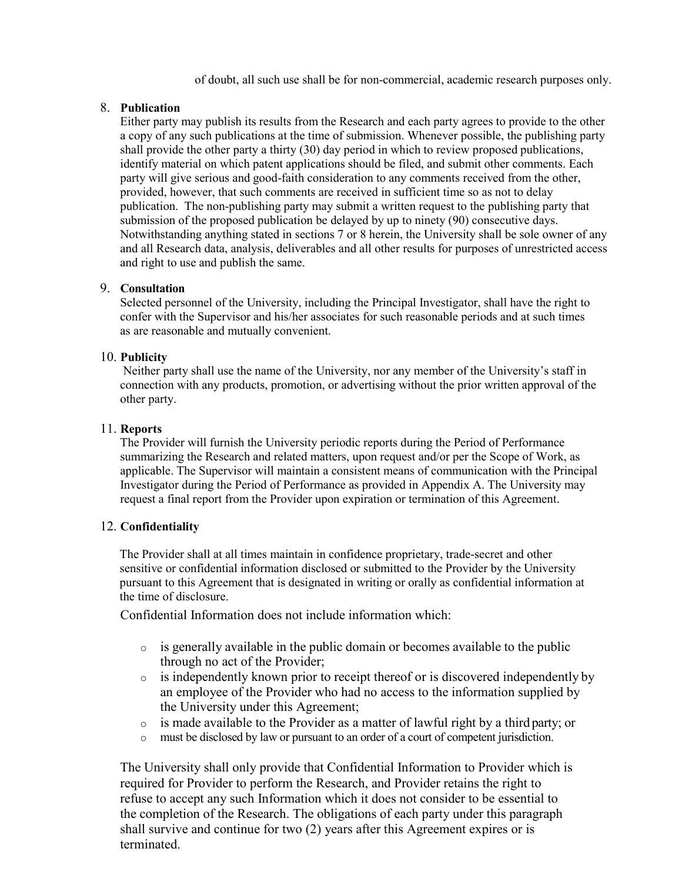of doubt, all such use shall be for non-commercial, academic research purposes only.

#### 8. **Publication**

Either party may publish its results from the Research and each party agrees to provide to the other a copy of any such publications at the time of submission. Whenever possible, the publishing party shall provide the other party a thirty (30) day period in which to review proposed publications, identify material on which patent applications should be filed, and submit other comments. Each party will give serious and good-faith consideration to any comments received from the other, provided, however, that such comments are received in sufficient time so as not to delay publication. The non-publishing party may submit a written request to the publishing party that submission of the proposed publication be delayed by up to ninety (90) consecutive days. Notwithstanding anything stated in sections 7 or 8 herein, the University shall be sole owner of any and all Research data, analysis, deliverables and all other results for purposes of unrestricted access and right to use and publish the same.

## 9. **Consultation**

Selected personnel of the University, including the Principal Investigator, shall have the right to confer with the Supervisor and his/her associates for such reasonable periods and at such times as are reasonable and mutually convenient.

#### 10. **Publicity**

Neither party shall use the name of the University, nor any member of the University's staff in connection with any products, promotion, or advertising without the prior written approval of the other party.

#### 11. **Reports**

The Provider will furnish the University periodic reports during the Period of Performance summarizing the Research and related matters, upon request and/or per the Scope of Work, as applicable. The Supervisor will maintain a consistent means of communication with the Principal Investigator during the Period of Performance as provided in Appendix A. The University may request a final report from the Provider upon expiration or termination of this Agreement.

#### 12. **Confidentiality**

The Provider shall at all times maintain in confidence proprietary, trade-secret and other sensitive or confidential information disclosed or submitted to the Provider by the University pursuant to this Agreement that is designated in writing or orally as confidential information at the time of disclosure.

Confidential Information does not include information which:

- $\circ$  is generally available in the public domain or becomes available to the public through no act of the Provider;
- o is independently known prior to receipt thereof or is discovered independently by an employee of the Provider who had no access to the information supplied by the University under this Agreement;
- o is made available to the Provider as a matter of lawful right by a third party; or
- o must be disclosed by law or pursuant to an order of a court of competent jurisdiction.

The University shall only provide that Confidential Information to Provider which is required for Provider to perform the Research, and Provider retains the right to refuse to accept any such Information which it does not consider to be essential to the completion of the Research. The obligations of each party under this paragraph shall survive and continue for two (2) years after this Agreement expires or is terminated.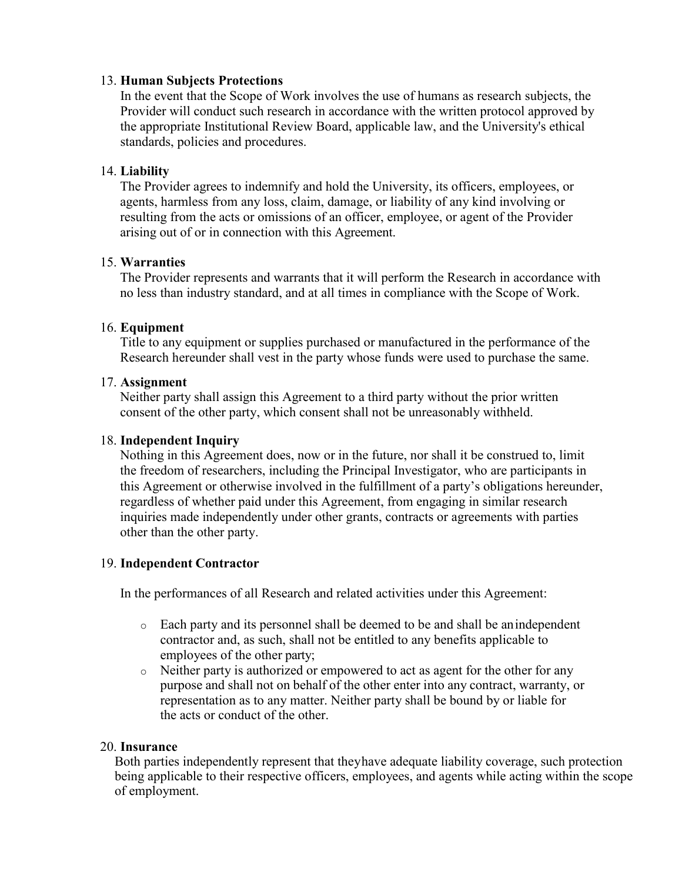## 13. **Human Subjects Protections**

In the event that the Scope of Work involves the use of humans as research subjects, the Provider will conduct such research in accordance with the written protocol approved by the appropriate Institutional Review Board, applicable law, and the University's ethical standards, policies and procedures.

# 14. **Liability**

The Provider agrees to indemnify and hold the University, its officers, employees, or agents, harmless from any loss, claim, damage, or liability of any kind involving or resulting from the acts or omissions of an officer, employee, or agent of the Provider arising out of or in connection with this Agreement.

# 15. **Warranties**

The Provider represents and warrants that it will perform the Research in accordance with no less than industry standard, and at all times in compliance with the Scope of Work.

# 16. **Equipment**

Title to any equipment or supplies purchased or manufactured in the performance of the Research hereunder shall vest in the party whose funds were used to purchase the same.

# 17. **Assignment**

Neither party shall assign this Agreement to a third party without the prior written consent of the other party, which consent shall not be unreasonably withheld.

## 18. **Independent Inquiry**

Nothing in this Agreement does, now or in the future, nor shall it be construed to, limit the freedom of researchers, including the Principal Investigator, who are participants in this Agreement or otherwise involved in the fulfillment of a party's obligations hereunder, regardless of whether paid under this Agreement, from engaging in similar research inquiries made independently under other grants, contracts or agreements with parties other than the other party.

# 19. **Independent Contractor**

In the performances of all Research and related activities under this Agreement:

- o Each party and its personnel shall be deemed to be and shall be an independent contractor and, as such, shall not be entitled to any benefits applicable to employees of the other party;
- o Neither party is authorized or empowered to act as agent for the other for any purpose and shall not on behalf of the other enter into any contract, warranty, or representation as to any matter. Neither party shall be bound by or liable for the acts or conduct of the other.

## 20. **Insurance**

Both parties independently represent that they have adequate liability coverage, such protection being applicable to their respective officers, employees, and agents while acting within the scope of employment.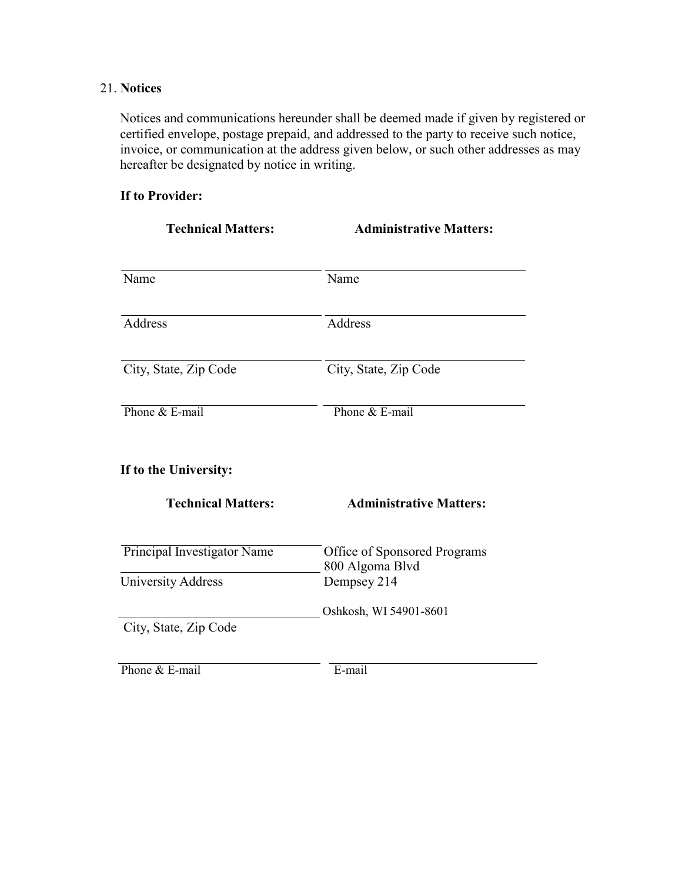# 21. **Notices**

Notices and communications hereunder shall be deemed made if given by registered or certified envelope, postage prepaid, and addressed to the party to receive such notice, invoice, or communication at the address given below, or such other addresses as may hereafter be designated by notice in writing.

# **If to Provider:**

| <b>Technical Matters:</b>   | <b>Administrative Matters:</b>                  |  |
|-----------------------------|-------------------------------------------------|--|
| Name                        | Name                                            |  |
| Address                     | Address                                         |  |
| City, State, Zip Code       | City, State, Zip Code                           |  |
| Phone & E-mail              | Phone & E-mail                                  |  |
| If to the University:       |                                                 |  |
| <b>Technical Matters:</b>   | <b>Administrative Matters:</b>                  |  |
| Principal Investigator Name | Office of Sponsored Programs<br>800 Algoma Blvd |  |
| University Address          | Dempsey 214                                     |  |
| City, State, Zip Code       | Oshkosh, WI 54901-8601                          |  |
| Phone & E-mail              | E-mail                                          |  |